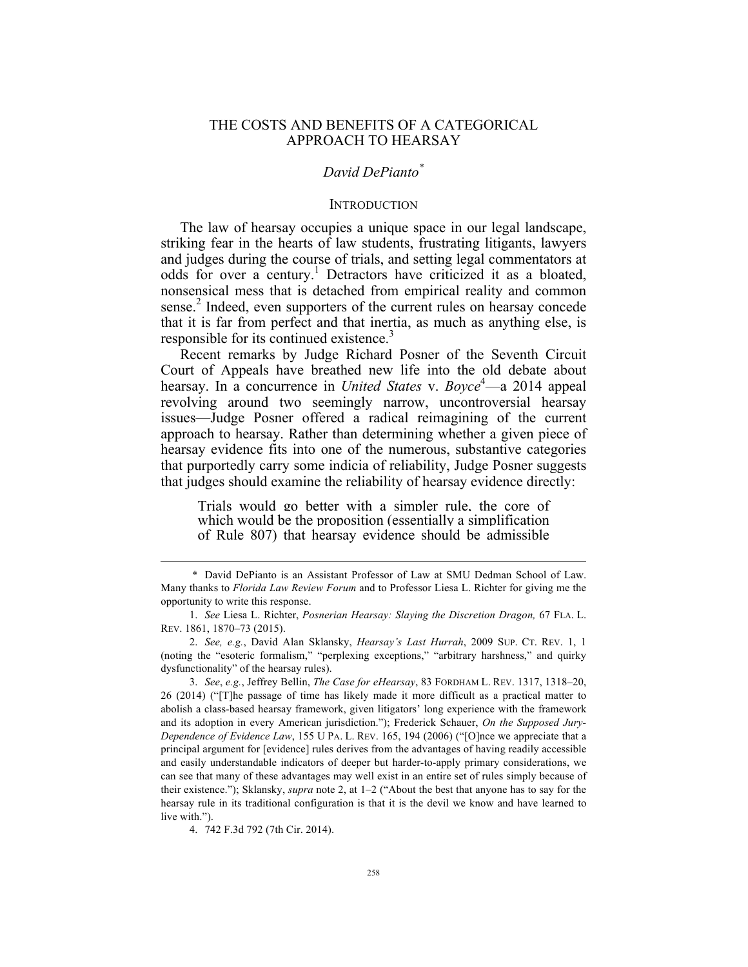# THE COSTS AND BENEFITS OF A CATEGORICAL APPROACH TO HEARSAY

# *David DePianto\**

### **INTRODUCTION**

The law of hearsay occupies a unique space in our legal landscape, striking fear in the hearts of law students, frustrating litigants, lawyers and judges during the course of trials, and setting legal commentators at odds for over a century.<sup>1</sup> Detractors have criticized it as a bloated, nonsensical mess that is detached from empirical reality and common sense.<sup>2</sup> Indeed, even supporters of the current rules on hearsay concede that it is far from perfect and that inertia, as much as anything else, is responsible for its continued existence.<sup>3</sup>

Recent remarks by Judge Richard Posner of the Seventh Circuit Court of Appeals have breathed new life into the old debate about hearsay. In a concurrence in *United States* v. *Boyce*<sup>4</sup>—a 2014 appeal revolving around two seemingly narrow, uncontroversial hearsay issues—Judge Posner offered a radical reimagining of the current approach to hearsay. Rather than determining whether a given piece of hearsay evidence fits into one of the numerous, substantive categories that purportedly carry some indicia of reliability, Judge Posner suggests that judges should examine the reliability of hearsay evidence directly:

Trials would go better with a simpler rule, the core of which would be the proposition (essentially a simplification of Rule 807) that hearsay evidence should be admissible

 <sup>\*</sup> David DePianto is an Assistant Professor of Law at SMU Dedman School of Law. Many thanks to *Florida Law Review Forum* and to Professor Liesa L. Richter for giving me the opportunity to write this response.

<sup>1.</sup> *See* Liesa L. Richter, *Posnerian Hearsay: Slaying the Discretion Dragon,* 67 FLA. L. REV. 1861, 1870–73 (2015).

<sup>2.</sup> *See, e.g.*, David Alan Sklansky, *Hearsay's Last Hurrah*, 2009 SUP. CT. REV. 1, 1 (noting the "esoteric formalism," "perplexing exceptions," "arbitrary harshness," and quirky dysfunctionality" of the hearsay rules).

<sup>3.</sup> *See*, *e.g.*, Jeffrey Bellin, *The Case for eHearsay*, 83 FORDHAM L. REV. 1317, 1318–20, 26 (2014) ("[T]he passage of time has likely made it more difficult as a practical matter to abolish a class-based hearsay framework, given litigators' long experience with the framework and its adoption in every American jurisdiction."); Frederick Schauer, *On the Supposed Jury-Dependence of Evidence Law*, 155 U PA. L. REV. 165, 194 (2006) ("[O]nce we appreciate that a principal argument for [evidence] rules derives from the advantages of having readily accessible and easily understandable indicators of deeper but harder-to-apply primary considerations, we can see that many of these advantages may well exist in an entire set of rules simply because of their existence."); Sklansky, *supra* note 2, at 1–2 ("About the best that anyone has to say for the hearsay rule in its traditional configuration is that it is the devil we know and have learned to live with.").

<sup>4.</sup> 742 F.3d 792 (7th Cir. 2014).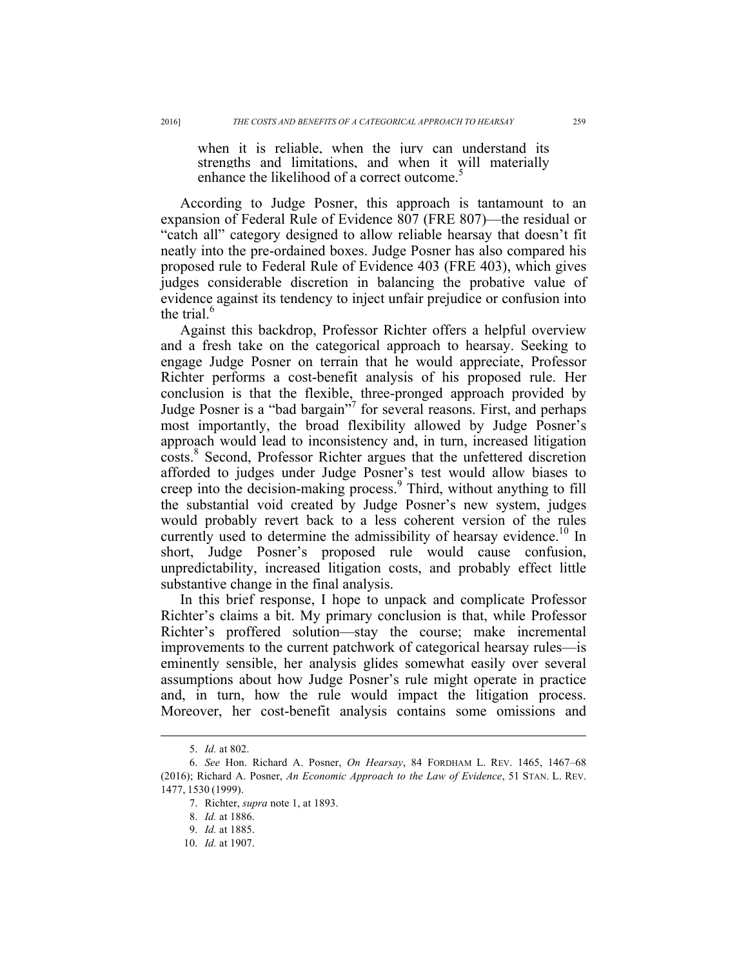when it is reliable, when the jury can understand its strengths and limitations, and when it will materially enhance the likelihood of a correct outcome.<sup>5</sup>

According to Judge Posner, this approach is tantamount to an expansion of Federal Rule of Evidence 807 (FRE 807)—the residual or "catch all" category designed to allow reliable hearsay that doesn't fit neatly into the pre-ordained boxes. Judge Posner has also compared his proposed rule to Federal Rule of Evidence 403 (FRE 403), which gives judges considerable discretion in balancing the probative value of evidence against its tendency to inject unfair prejudice or confusion into the trial.<sup>6</sup>

Against this backdrop, Professor Richter offers a helpful overview and a fresh take on the categorical approach to hearsay. Seeking to engage Judge Posner on terrain that he would appreciate, Professor Richter performs a cost-benefit analysis of his proposed rule. Her conclusion is that the flexible, three-pronged approach provided by Judge Posner is a "bad bargain"<sup>7</sup> for several reasons. First, and perhaps most importantly, the broad flexibility allowed by Judge Posner's approach would lead to inconsistency and, in turn, increased litigation costs.<sup>8</sup> Second, Professor Richter argues that the unfettered discretion afforded to judges under Judge Posner's test would allow biases to creep into the decision-making process.<sup>9</sup> Third, without anything to fill the substantial void created by Judge Posner's new system, judges would probably revert back to a less coherent version of the rules currently used to determine the admissibility of hearsay evidence.<sup>10</sup> In short, Judge Posner's proposed rule would cause confusion, unpredictability, increased litigation costs, and probably effect little substantive change in the final analysis.

In this brief response, I hope to unpack and complicate Professor Richter's claims a bit. My primary conclusion is that, while Professor Richter's proffered solution—stay the course; make incremental improvements to the current patchwork of categorical hearsay rules—is eminently sensible, her analysis glides somewhat easily over several assumptions about how Judge Posner's rule might operate in practice and, in turn, how the rule would impact the litigation process. Moreover, her cost-benefit analysis contains some omissions and

 <sup>5.</sup> *Id.* at 802.

<sup>6.</sup> *See* Hon. Richard A. Posner, *On Hearsay*, 84 FORDHAM L. REV. 1465, 1467–68 (2016); Richard A. Posner, *An Economic Approach to the Law of Evidence*, 51 STAN. L. REV. 1477, 1530 (1999).

<sup>7.</sup> Richter, *supra* note 1, at 1893.

<sup>8.</sup> *Id.* at 1886.

<sup>9.</sup> *Id.* at 1885.

<sup>10.</sup> *Id.* at 1907.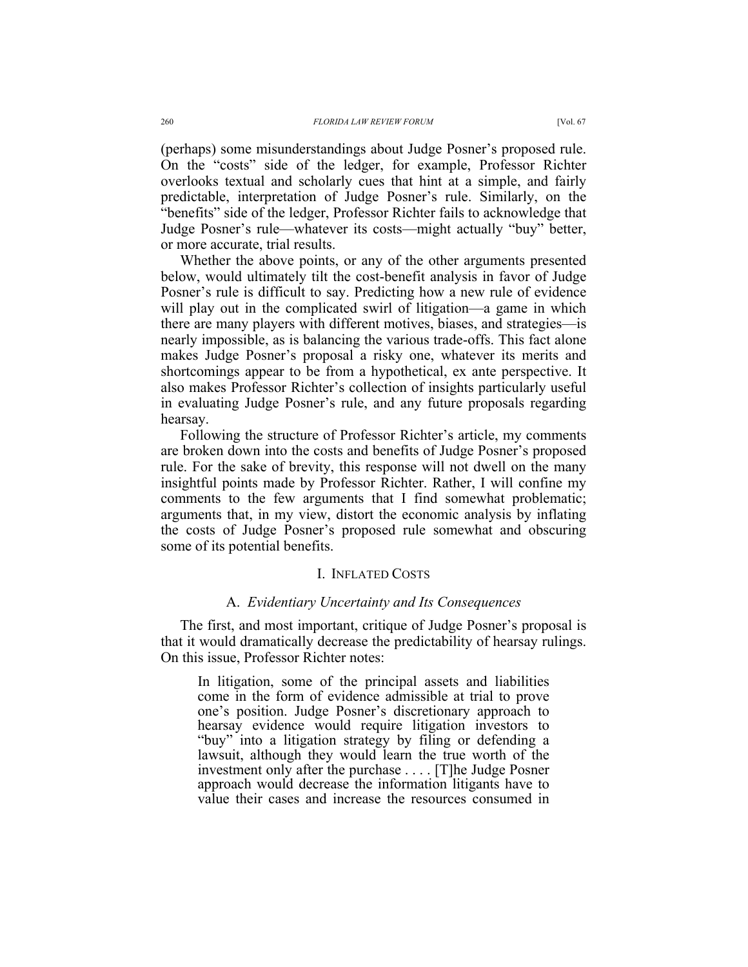(perhaps) some misunderstandings about Judge Posner's proposed rule. On the "costs" side of the ledger, for example, Professor Richter overlooks textual and scholarly cues that hint at a simple, and fairly predictable, interpretation of Judge Posner's rule. Similarly, on the "benefits" side of the ledger, Professor Richter fails to acknowledge that Judge Posner's rule—whatever its costs—might actually "buy" better, or more accurate, trial results.

Whether the above points, or any of the other arguments presented below, would ultimately tilt the cost-benefit analysis in favor of Judge Posner's rule is difficult to say. Predicting how a new rule of evidence will play out in the complicated swirl of litigation—a game in which there are many players with different motives, biases, and strategies—is nearly impossible, as is balancing the various trade-offs. This fact alone makes Judge Posner's proposal a risky one, whatever its merits and shortcomings appear to be from a hypothetical, ex ante perspective. It also makes Professor Richter's collection of insights particularly useful in evaluating Judge Posner's rule, and any future proposals regarding hearsay.

Following the structure of Professor Richter's article, my comments are broken down into the costs and benefits of Judge Posner's proposed rule. For the sake of brevity, this response will not dwell on the many insightful points made by Professor Richter. Rather, I will confine my comments to the few arguments that I find somewhat problematic; arguments that, in my view, distort the economic analysis by inflating the costs of Judge Posner's proposed rule somewhat and obscuring some of its potential benefits.

## I. INFLATED COSTS

# A. *Evidentiary Uncertainty and Its Consequences*

The first, and most important, critique of Judge Posner's proposal is that it would dramatically decrease the predictability of hearsay rulings. On this issue, Professor Richter notes:

In litigation, some of the principal assets and liabilities come in the form of evidence admissible at trial to prove one's position. Judge Posner's discretionary approach to hearsay evidence would require litigation investors to "buy" into a litigation strategy by filing or defending a lawsuit, although they would learn the true worth of the investment only after the purchase  $\dots$  [T]he Judge Posner approach would decrease the information litigants have to value their cases and increase the resources consumed in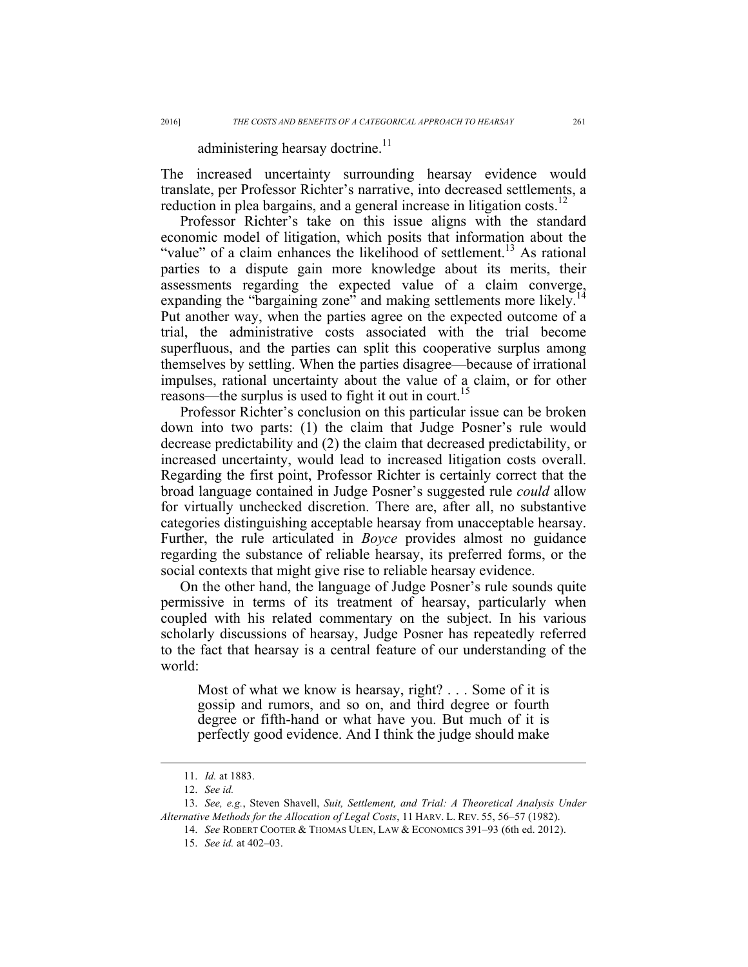# administering hearsay doctrine.<sup>11</sup>

The increased uncertainty surrounding hearsay evidence would translate, per Professor Richter's narrative, into decreased settlements, a reduction in plea bargains, and a general increase in litigation costs.<sup>12</sup>

Professor Richter's take on this issue aligns with the standard economic model of litigation, which posits that information about the "value" of a claim enhances the likelihood of settlement.<sup>13</sup> As rational parties to a dispute gain more knowledge about its merits, their assessments regarding the expected value of a claim converge, expanding the "bargaining zone" and making settlements more likely. Put another way, when the parties agree on the expected outcome of a trial, the administrative costs associated with the trial become superfluous, and the parties can split this cooperative surplus among themselves by settling. When the parties disagree—because of irrational impulses, rational uncertainty about the value of a claim, or for other reasons—the surplus is used to fight it out in court.<sup>15</sup>

Professor Richter's conclusion on this particular issue can be broken down into two parts: (1) the claim that Judge Posner's rule would decrease predictability and (2) the claim that decreased predictability, or increased uncertainty, would lead to increased litigation costs overall. Regarding the first point, Professor Richter is certainly correct that the broad language contained in Judge Posner's suggested rule *could* allow for virtually unchecked discretion. There are, after all, no substantive categories distinguishing acceptable hearsay from unacceptable hearsay. Further, the rule articulated in *Boyce* provides almost no guidance regarding the substance of reliable hearsay, its preferred forms, or the social contexts that might give rise to reliable hearsay evidence.

On the other hand, the language of Judge Posner's rule sounds quite permissive in terms of its treatment of hearsay, particularly when coupled with his related commentary on the subject. In his various scholarly discussions of hearsay, Judge Posner has repeatedly referred to the fact that hearsay is a central feature of our understanding of the world:

Most of what we know is hearsay, right? . . . Some of it is gossip and rumors, and so on, and third degree or fourth degree or fifth-hand or what have you. But much of it is perfectly good evidence. And I think the judge should make

 <sup>11.</sup> *Id.* at 1883.

<sup>12.</sup> *See id.*

<sup>13.</sup> *See, e.g.*, Steven Shavell, *Suit, Settlement, and Trial: A Theoretical Analysis Under Alternative Methods for the Allocation of Legal Costs*, 11 HARV. L. REV. 55, 56–57 (1982).

<sup>14.</sup> *See* ROBERT COOTER & THOMAS ULEN, LAW & ECONOMICS 391–93 (6th ed. 2012).

<sup>15.</sup> *See id.* at 402–03.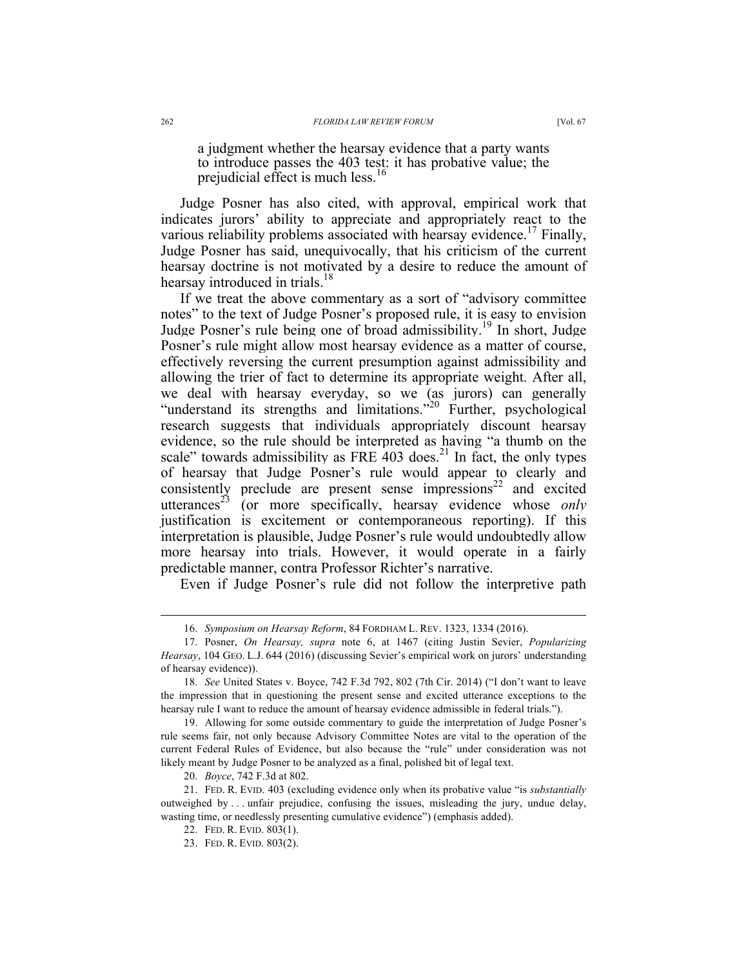prejudicial effect is much less.<sup>16</sup>

Judge Posner has also cited, with approval, empirical work that indicates jurors' ability to appreciate and appropriately react to the various reliability problems associated with hearsay evidence.<sup>17</sup> Finally, Judge Posner has said, unequivocally, that his criticism of the current hearsay doctrine is not motivated by a desire to reduce the amount of hearsay introduced in trials.<sup>18</sup>

If we treat the above commentary as a sort of "advisory committee notes" to the text of Judge Posner's proposed rule, it is easy to envision Judge Posner's rule being one of broad admissibility.<sup>19</sup> In short, Judge Posner's rule might allow most hearsay evidence as a matter of course, effectively reversing the current presumption against admissibility and allowing the trier of fact to determine its appropriate weight. After all, we deal with hearsay everyday, so we (as jurors) can generally "understand its strengths and limitations."<sup>20</sup> Further, psychological research suggests that individuals appropriately discount hearsay evidence, so the rule should be interpreted as having "a thumb on the scale" towards admissibility as FRE 403 does. $^{21}$  In fact, the only types of hearsay that Judge Posner's rule would appear to clearly and consistently preclude are present sense impressions<sup>22</sup> and excited utterances<sup>23</sup> (or more specifically, hearsay evidence whose *only* justification is excitement or contemporaneous reporting). If this interpretation is plausible, Judge Posner's rule would undoubtedly allow more hearsay into trials. However, it would operate in a fairly predictable manner, contra Professor Richter's narrative.

Even if Judge Posner's rule did not follow the interpretive path

20. *Boyce*, 742 F.3d at 802.

 <sup>16.</sup> *Symposium on Hearsay Reform*, 84 FORDHAM L. REV. 1323, 1334 (2016).

<sup>17.</sup> Posner, *On Hearsay, supra* note 6, at 1467 (citing Justin Sevier, *Popularizing Hearsay*, 104 GEO. L.J. 644 (2016) (discussing Sevier's empirical work on jurors' understanding of hearsay evidence)).

<sup>18.</sup> *See* United States v. Boyce, 742 F.3d 792, 802 (7th Cir. 2014) ("I don't want to leave the impression that in questioning the present sense and excited utterance exceptions to the hearsay rule I want to reduce the amount of hearsay evidence admissible in federal trials.").

<sup>19.</sup> Allowing for some outside commentary to guide the interpretation of Judge Posner's rule seems fair, not only because Advisory Committee Notes are vital to the operation of the current Federal Rules of Evidence, but also because the "rule" under consideration was not likely meant by Judge Posner to be analyzed as a final, polished bit of legal text.

<sup>21.</sup> FED. R. EVID. 403 (excluding evidence only when its probative value "is *substantially* outweighed by . . . unfair prejudice, confusing the issues, misleading the jury, undue delay, wasting time, or needlessly presenting cumulative evidence") (emphasis added).

<sup>22.</sup> FED. R. EVID. 803(1).

<sup>23.</sup> FED. R. EVID. 803(2).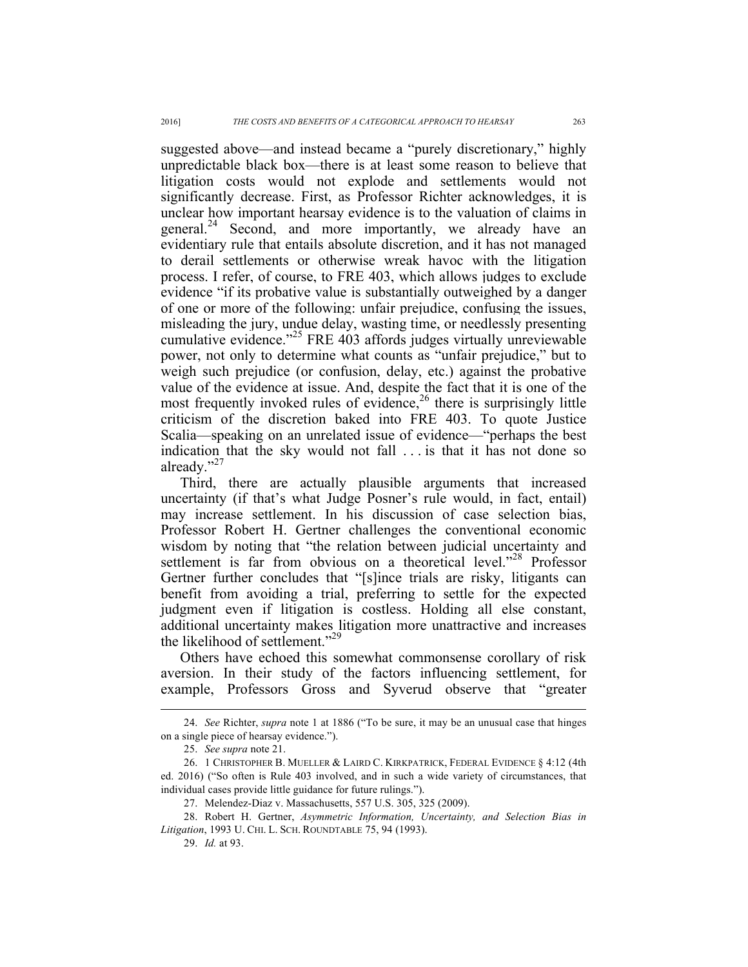suggested above—and instead became a "purely discretionary," highly unpredictable black box—there is at least some reason to believe that litigation costs would not explode and settlements would not significantly decrease. First, as Professor Richter acknowledges, it is unclear how important hearsay evidence is to the valuation of claims in general.<sup>24</sup> Second, and more importantly, we already have an evidentiary rule that entails absolute discretion, and it has not managed to derail settlements or otherwise wreak havoc with the litigation process. I refer, of course, to FRE 403, which allows judges to exclude evidence "if its probative value is substantially outweighed by a danger of one or more of the following: unfair prejudice, confusing the issues, misleading the jury, undue delay, wasting time, or needlessly presenting cumulative evidence."<sup>25</sup> FRE 403 affords judges virtually unreviewable power, not only to determine what counts as "unfair prejudice," but to weigh such prejudice (or confusion, delay, etc.) against the probative value of the evidence at issue. And, despite the fact that it is one of the most frequently invoked rules of evidence,  $26$  there is surprisingly little criticism of the discretion baked into FRE 403. To quote Justice Scalia—speaking on an unrelated issue of evidence—"perhaps the best indication that the sky would not fall . . . is that it has not done so already."<sup>27</sup>

Third, there are actually plausible arguments that increased uncertainty (if that's what Judge Posner's rule would, in fact, entail) may increase settlement. In his discussion of case selection bias, Professor Robert H. Gertner challenges the conventional economic wisdom by noting that "the relation between judicial uncertainty and settlement is far from obvious on a theoretical level."<sup>28</sup> Professor Gertner further concludes that "[s]ince trials are risky, litigants can benefit from avoiding a trial, preferring to settle for the expected judgment even if litigation is costless. Holding all else constant, additional uncertainty makes litigation more unattractive and increases the likelihood of settlement."<sup>29</sup>

Others have echoed this somewhat commonsense corollary of risk aversion. In their study of the factors influencing settlement, for example, Professors Gross and Syverud observe that "greater

 <sup>24.</sup> *See* Richter, *supra* note <sup>1</sup> at 1886 ("To be sure, it may be an unusual case that hinges on a single piece of hearsay evidence.").

<sup>25.</sup> *See supra* note 21.

<sup>26.</sup> 1 CHRISTOPHER B. MUELLER & LAIRD C. KIRKPATRICK, FEDERAL EVIDENCE § 4:12 (4th ed. 2016) ("So often is Rule 403 involved, and in such a wide variety of circumstances, that individual cases provide little guidance for future rulings.").

<sup>27.</sup> Melendez-Diaz v. Massachusetts, 557 U.S. 305, 325 (2009).

<sup>28.</sup> Robert H. Gertner, *Asymmetric Information, Uncertainty, and Selection Bias in Litigation*, 1993 U. CHI. L. SCH. ROUNDTABLE 75, 94 (1993).

<sup>29.</sup> *Id.* at 93.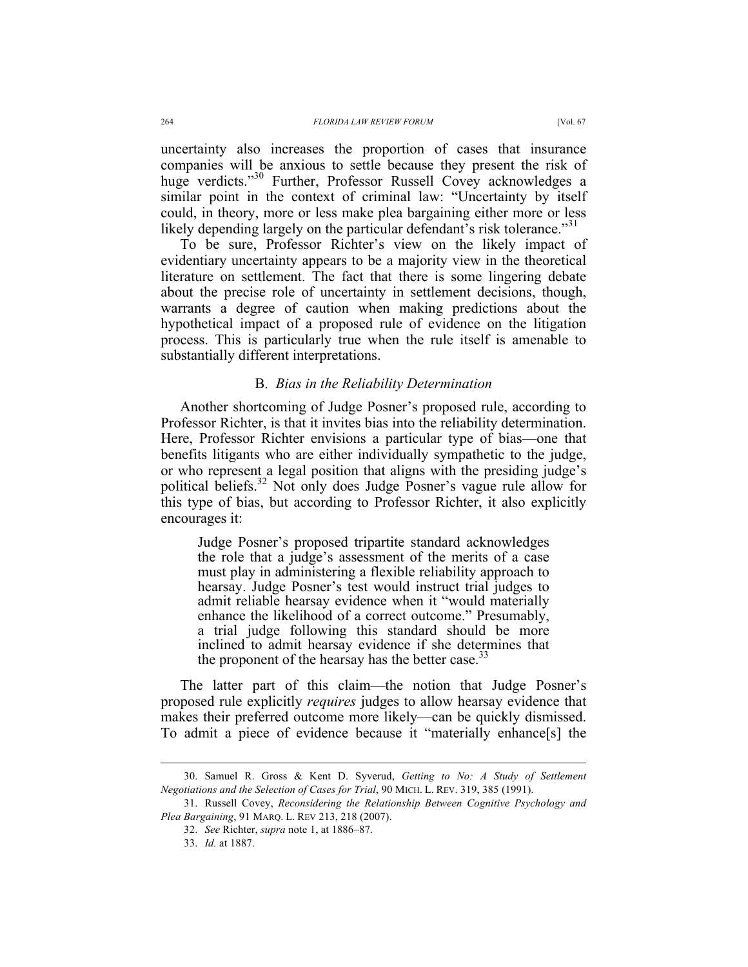uncertainty also increases the proportion of cases that insurance companies will be anxious to settle because they present the risk of huge verdicts."<sup>30</sup> Further, Professor Russell Covey acknowledges a similar point in the context of criminal law: "Uncertainty by itself could, in theory, more or less make plea bargaining either more or less likely depending largely on the particular defendant's risk tolerance."<sup>31</sup>

To be sure, Professor Richter's view on the likely impact of evidentiary uncertainty appears to be a majority view in the theoretical literature on settlement. The fact that there is some lingering debate about the precise role of uncertainty in settlement decisions, though, warrants a degree of caution when making predictions about the hypothetical impact of a proposed rule of evidence on the litigation process. This is particularly true when the rule itself is amenable to substantially different interpretations.

#### B. *Bias in the Reliability Determination*

Another shortcoming of Judge Posner's proposed rule, according to Professor Richter, is that it invites bias into the reliability determination. Here, Professor Richter envisions a particular type of bias—one that benefits litigants who are either individually sympathetic to the judge, or who represent a legal position that aligns with the presiding judge's political beliefs.32 Not only does Judge Posner's vague rule allow for this type of bias, but according to Professor Richter, it also explicitly encourages it:

Judge Posner's proposed tripartite standard acknowledges the role that a judge's assessment of the merits of a case must play in administering a flexible reliability approach to hearsay. Judge Posner's test would instruct trial judges to admit reliable hearsay evidence when it "would materially enhance the likelihood of a correct outcome." Presumably, a trial judge following this standard should be more inclined to admit hearsay evidence if she determines that the proponent of the hearsay has the better case.<sup>3</sup>

The latter part of this claim—the notion that Judge Posner's proposed rule explicitly *requires* judges to allow hearsay evidence that makes their preferred outcome more likely—can be quickly dismissed. To admit a piece of evidence because it "materially enhance[s] the

 <sup>30.</sup> Samuel R. Gross & Kent D. Syverud, *Getting to No: A Study of Settlement Negotiations and the Selection of Cases for Trial*, 90 MICH. L. REV. 319, 385 (1991).

<sup>31.</sup> Russell Covey, *Reconsidering the Relationship Between Cognitive Psychology and Plea Bargaining*, 91 MARQ. L. REV 213, 218 (2007).

<sup>32.</sup> *See* Richter, *supra* note 1, at 1886–87.

<sup>33.</sup> *Id.* at 1887.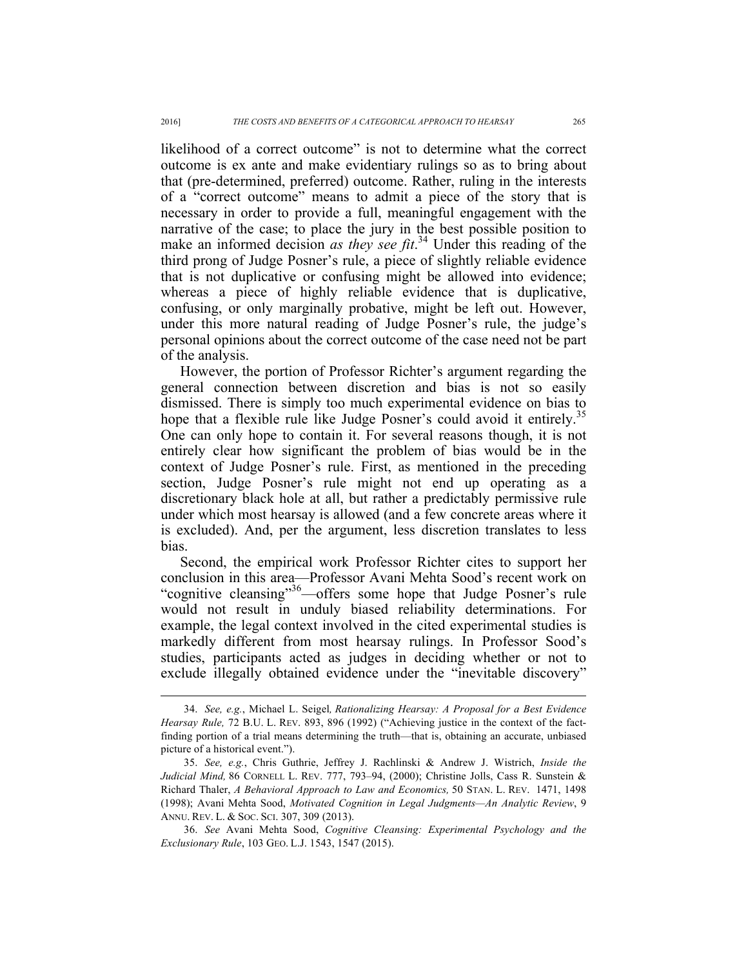likelihood of a correct outcome" is not to determine what the correct outcome is ex ante and make evidentiary rulings so as to bring about that (pre-determined, preferred) outcome. Rather, ruling in the interests of a "correct outcome" means to admit a piece of the story that is necessary in order to provide a full, meaningful engagement with the narrative of the case; to place the jury in the best possible position to make an informed decision *as they see fit*.<sup>34</sup> Under this reading of the third prong of Judge Posner's rule, a piece of slightly reliable evidence that is not duplicative or confusing might be allowed into evidence; whereas a piece of highly reliable evidence that is duplicative, confusing, or only marginally probative, might be left out. However, under this more natural reading of Judge Posner's rule, the judge's personal opinions about the correct outcome of the case need not be part of the analysis.

However, the portion of Professor Richter's argument regarding the general connection between discretion and bias is not so easily dismissed. There is simply too much experimental evidence on bias to hope that a flexible rule like Judge Posner's could avoid it entirely.<sup>35</sup> One can only hope to contain it. For several reasons though, it is not entirely clear how significant the problem of bias would be in the context of Judge Posner's rule. First, as mentioned in the preceding section, Judge Posner's rule might not end up operating as a discretionary black hole at all, but rather a predictably permissive rule under which most hearsay is allowed (and a few concrete areas where it is excluded). And, per the argument, less discretion translates to less bias.

Second, the empirical work Professor Richter cites to support her conclusion in this area—Professor Avani Mehta Sood's recent work on "cognitive cleansing"<sup>36</sup>—offers some hope that Judge Posner's rule would not result in unduly biased reliability determinations. For example, the legal context involved in the cited experimental studies is markedly different from most hearsay rulings. In Professor Sood's studies, participants acted as judges in deciding whether or not to exclude illegally obtained evidence under the "inevitable discovery"

 <sup>34.</sup> *See, e.g.*, Michael L. Seigel*, Rationalizing Hearsay: A Proposal for a Best Evidence Hearsay Rule,* 72 B.U. L. REV. 893, 896 (1992) ("Achieving justice in the context of the factfinding portion of a trial means determining the truth—that is, obtaining an accurate, unbiased picture of a historical event.").

<sup>35.</sup> *See, e.g.*, Chris Guthrie, Jeffrey J. Rachlinski & Andrew J. Wistrich, *Inside the Judicial Mind,* 86 CORNELL L. REV. 777, 793–94, (2000); Christine Jolls, Cass R. Sunstein & Richard Thaler, *A Behavioral Approach to Law and Economics,* 50 STAN. L. REV. 1471, 1498 (1998); Avani Mehta Sood, *Motivated Cognition in Legal Judgments—An Analytic Review*, 9 ANNU. REV. L. & SOC. SCI. 307, 309 (2013).

<sup>36.</sup> *See* Avani Mehta Sood, *Cognitive Cleansing: Experimental Psychology and the Exclusionary Rule*, 103 GEO. L.J. 1543, 1547 (2015).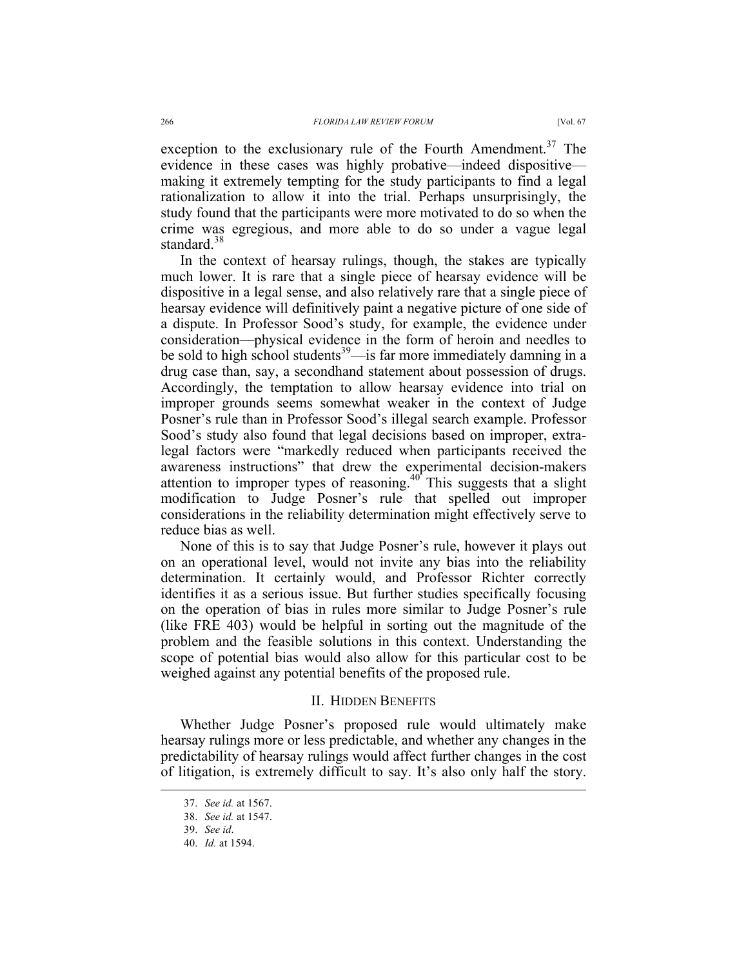exception to the exclusionary rule of the Fourth Amendment.<sup>37</sup> The evidence in these cases was highly probative—indeed dispositive making it extremely tempting for the study participants to find a legal rationalization to allow it into the trial. Perhaps unsurprisingly, the study found that the participants were more motivated to do so when the crime was egregious, and more able to do so under a vague legal standard.<sup>38</sup>

In the context of hearsay rulings, though, the stakes are typically much lower. It is rare that a single piece of hearsay evidence will be dispositive in a legal sense, and also relatively rare that a single piece of hearsay evidence will definitively paint a negative picture of one side of a dispute. In Professor Sood's study, for example, the evidence under consideration—physical evidence in the form of heroin and needles to be sold to high school students<sup>39</sup>—is far more immediately damning in a drug case than, say, a secondhand statement about possession of drugs. Accordingly, the temptation to allow hearsay evidence into trial on improper grounds seems somewhat weaker in the context of Judge Posner's rule than in Professor Sood's illegal search example. Professor Sood's study also found that legal decisions based on improper, extralegal factors were "markedly reduced when participants received the awareness instructions" that drew the experimental decision-makers attention to improper types of reasoning.<sup>40</sup> This suggests that a slight modification to Judge Posner's rule that spelled out improper considerations in the reliability determination might effectively serve to reduce bias as well.

None of this is to say that Judge Posner's rule, however it plays out on an operational level, would not invite any bias into the reliability determination. It certainly would, and Professor Richter correctly identifies it as a serious issue. But further studies specifically focusing on the operation of bias in rules more similar to Judge Posner's rule (like FRE 403) would be helpful in sorting out the magnitude of the problem and the feasible solutions in this context. Understanding the scope of potential bias would also allow for this particular cost to be weighed against any potential benefits of the proposed rule.

#### II. HIDDEN BENEFITS

Whether Judge Posner's proposed rule would ultimately make hearsay rulings more or less predictable, and whether any changes in the predictability of hearsay rulings would affect further changes in the cost of litigation, is extremely difficult to say. It's also only half the story.

 <sup>37.</sup> *See id.* at 1567.

<sup>38.</sup> *See id.* at 1547.

<sup>39.</sup> *See id*.

<sup>40.</sup> *Id.* at 1594.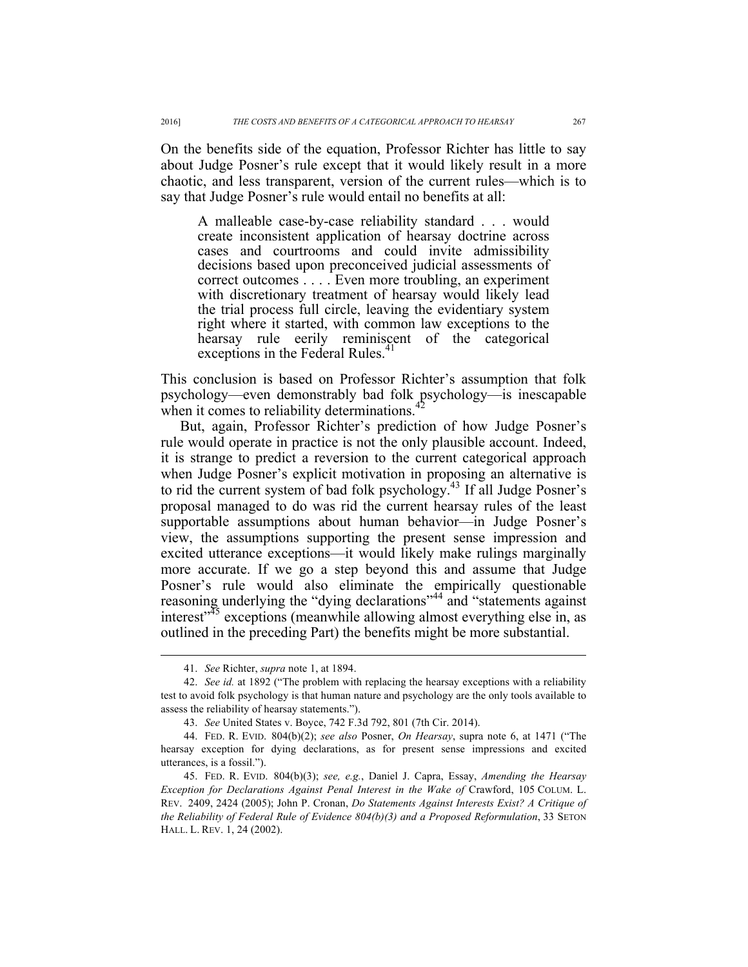On the benefits side of the equation, Professor Richter has little to say about Judge Posner's rule except that it would likely result in a more chaotic, and less transparent, version of the current rules—which is to say that Judge Posner's rule would entail no benefits at all:

A malleable case-by-case reliability standard . . . would create inconsistent application of hearsay doctrine across cases and courtrooms and could invite admissibility decisions based upon preconceived judicial assessments of correct outcomes . . . . Even more troubling, an experiment with discretionary treatment of hearsay would likely lead the trial process full circle, leaving the evidentiary system right where it started, with common law exceptions to the hearsay rule eerily reminiscent of the categorical exceptions in the Federal Rules.<sup>41</sup>

This conclusion is based on Professor Richter's assumption that folk psychology—even demonstrably bad folk psychology—is inescapable when it comes to reliability determinations.

But, again, Professor Richter's prediction of how Judge Posner's rule would operate in practice is not the only plausible account. Indeed, it is strange to predict a reversion to the current categorical approach when Judge Posner's explicit motivation in proposing an alternative is to rid the current system of bad folk psychology.43 If all Judge Posner's proposal managed to do was rid the current hearsay rules of the least supportable assumptions about human behavior—in Judge Posner's view, the assumptions supporting the present sense impression and excited utterance exceptions—it would likely make rulings marginally more accurate. If we go a step beyond this and assume that Judge Posner's rule would also eliminate the empirically questionable reasoning underlying the "dying declarations"<sup>44</sup> and "statements against interest<sup> $35$ </sup> exceptions (meanwhile allowing almost everything else in, as outlined in the preceding Part) the benefits might be more substantial.

 <sup>41.</sup> *See* Richter, *supra* note 1, at 1894.

<sup>42.</sup> *See id.* at 1892 ("The problem with replacing the hearsay exceptions with a reliability test to avoid folk psychology is that human nature and psychology are the only tools available to assess the reliability of hearsay statements.").

<sup>43.</sup> *See* United States v. Boyce, 742 F.3d 792, 801 (7th Cir. 2014).

<sup>44.</sup> FED. R. EVID. 804(b)(2); *see also* Posner, *On Hearsay*, supra note 6, at 1471 ("The hearsay exception for dying declarations, as for present sense impressions and excited utterances, is a fossil.").

<sup>45.</sup> FED. R. EVID. 804(b)(3); *see, e.g.*, Daniel J. Capra, Essay, *Amending the Hearsay Exception for Declarations Against Penal Interest in the Wake of* Crawford, 105 COLUM. L. REV. 2409, 2424 (2005); John P. Cronan, *Do Statements Against Interests Exist? A Critique of the Reliability of Federal Rule of Evidence 804(b)(3) and a Proposed Reformulation*, 33 SETON HALL. L. REV. 1, 24 (2002).